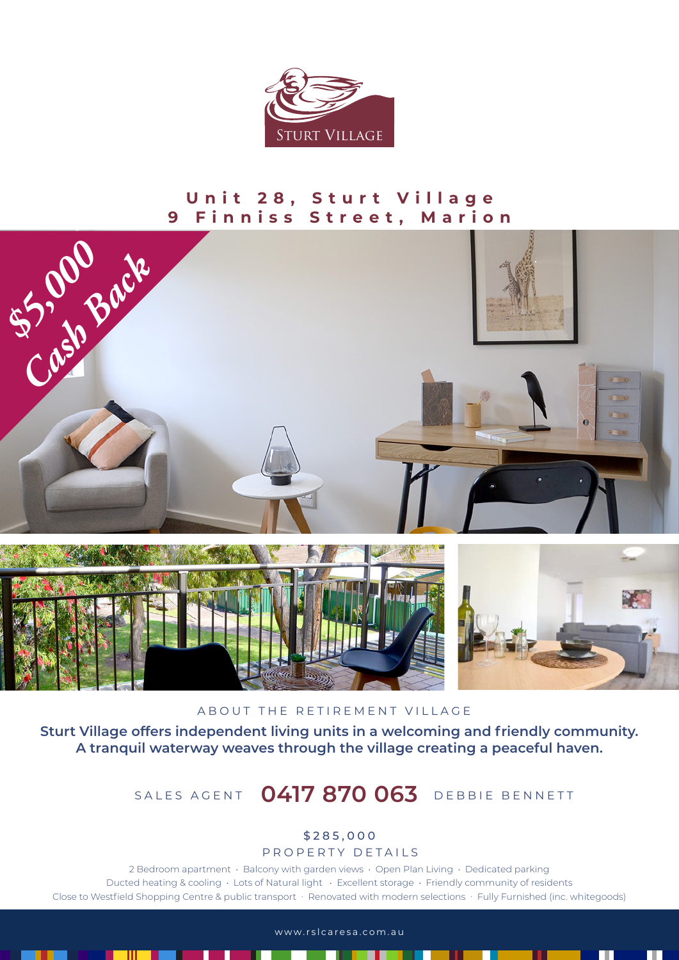

## **Unit 28, Sturt Village 9 Finniss Street, Marion**





ABOUT THE RETIREMENT VILLAGE

**Sturt Village offers independent living units in a welcoming and friendly community. A tranquil waterway weaves through the village creating a peaceful haven.** 

## SALES AGENT **0417 870 063** DEBBIE BENNETT

## \$285,000

PROPERTY DETAILS

2 Bedroom apartment • Balcony with garden views • Open Plan Living • Dedicated parking Ducted heating & cooling • Lots of Natural light • Excellent storage • Friendly community of residents Close to Westfield Shopping Centre & public transport · Renovated with modern selections · Fully Furnished (inc. whitegoods)

www.rslcaresa.com.au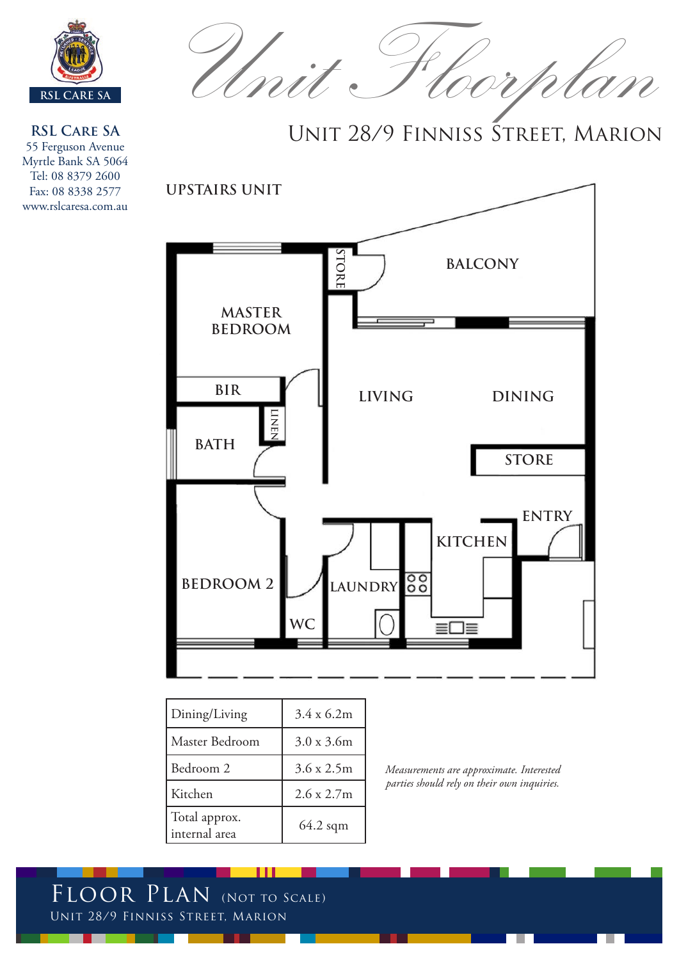

**RSL Care SA** 55 Ferguson Avenue Myrtle Bank SA 5064 Tel: 08 8379 2600 Fax: 08 8338 2577 www.rslcaresa.com.au

Unit. Hoorpla

Unit 28/9 Finniss Street, Marion



| Dining/Living                  | 3.4 x 6.2m        |
|--------------------------------|-------------------|
| Master Bedroom                 | $3.0 \times 3.6m$ |
| Bedroom 2                      | $3.6 \times 2.5m$ |
| Kitchen                        | 2.6 x 2.7 m       |
| Total approx.<br>internal area | $64.2$ sqm        |

*Measurements are approximate. Interested parties should rely on their own inquiries.*

FLOOR PLAN (NOT TO SCALE) Unit 28/9 Finniss Street, Marion